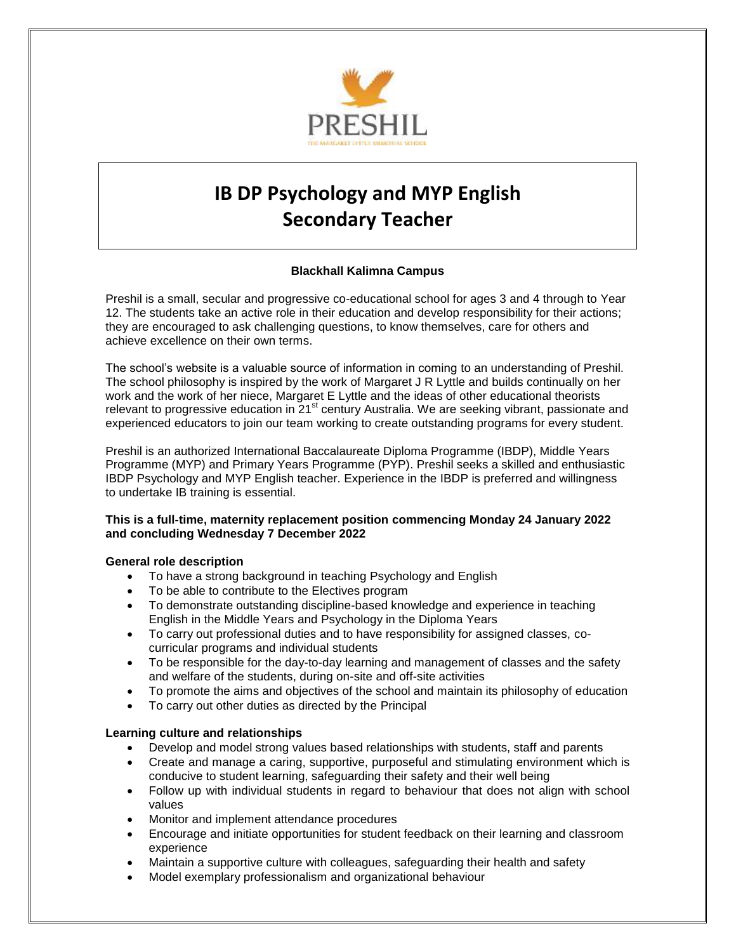

# **IB DP Psychology and MYP English Secondary Teacher**

# **Blackhall Kalimna Campus**

Preshil is a small, secular and progressive co-educational school for ages 3 and 4 through to Year 12. The students take an active role in their education and develop responsibility for their actions; they are encouraged to ask challenging questions, to know themselves, care for others and achieve excellence on their own terms.

The school's website is a valuable source of information in coming to an understanding of Preshil. The school philosophy is inspired by the work of Margaret J R Lyttle and builds continually on her work and the work of her niece, Margaret E Lyttle and the ideas of other educational theorists relevant to progressive education in  $21<sup>st</sup>$  century Australia. We are seeking vibrant, passionate and experienced educators to join our team working to create outstanding programs for every student.

Preshil is an authorized International Baccalaureate Diploma Programme (IBDP), Middle Years Programme (MYP) and Primary Years Programme (PYP). Preshil seeks a skilled and enthusiastic IBDP Psychology and MYP English teacher. Experience in the IBDP is preferred and willingness to undertake IB training is essential.

# **This is a full-time, maternity replacement position commencing Monday 24 January 2022 and concluding Wednesday 7 December 2022**

#### **General role description**

- To have a strong background in teaching Psychology and English
- To be able to contribute to the Electives program
- To demonstrate outstanding discipline-based knowledge and experience in teaching English in the Middle Years and Psychology in the Diploma Years
- To carry out professional duties and to have responsibility for assigned classes, cocurricular programs and individual students
- To be responsible for the day-to-day learning and management of classes and the safety and welfare of the students, during on-site and off-site activities
- To promote the aims and objectives of the school and maintain its philosophy of education
- To carry out other duties as directed by the Principal

# **Learning culture and relationships**

- Develop and model strong values based relationships with students, staff and parents
- Create and manage a caring, supportive, purposeful and stimulating environment which is conducive to student learning, safeguarding their safety and their well being
- Follow up with individual students in regard to behaviour that does not align with school values
- Monitor and implement attendance procedures
- Encourage and initiate opportunities for student feedback on their learning and classroom experience
- Maintain a supportive culture with colleagues, safeguarding their health and safety
- Model exemplary professionalism and organizational behaviour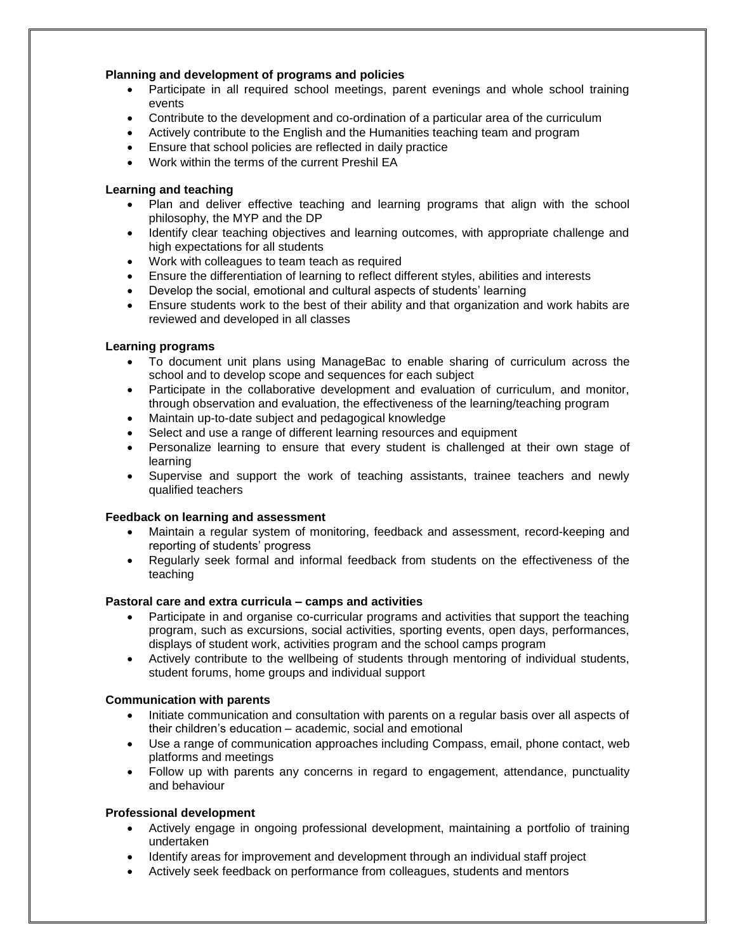# **Planning and development of programs and policies**

- Participate in all required school meetings, parent evenings and whole school training events
- Contribute to the development and co-ordination of a particular area of the curriculum
- Actively contribute to the English and the Humanities teaching team and program
- Ensure that school policies are reflected in daily practice
- Work within the terms of the current Preshil EA

# **Learning and teaching**

- Plan and deliver effective teaching and learning programs that align with the school philosophy, the MYP and the DP
- Identify clear teaching objectives and learning outcomes, with appropriate challenge and high expectations for all students
- Work with colleagues to team teach as required
- Ensure the differentiation of learning to reflect different styles, abilities and interests
- Develop the social, emotional and cultural aspects of students' learning
- Ensure students work to the best of their ability and that organization and work habits are reviewed and developed in all classes

# **Learning programs**

- To document unit plans using ManageBac to enable sharing of curriculum across the school and to develop scope and sequences for each subject
- Participate in the collaborative development and evaluation of curriculum, and monitor, through observation and evaluation, the effectiveness of the learning/teaching program
- Maintain up-to-date subject and pedagogical knowledge
- Select and use a range of different learning resources and equipment
- Personalize learning to ensure that every student is challenged at their own stage of learning
- Supervise and support the work of teaching assistants, trainee teachers and newly qualified teachers

#### **Feedback on learning and assessment**

- Maintain a regular system of monitoring, feedback and assessment, record-keeping and reporting of students' progress
- Regularly seek formal and informal feedback from students on the effectiveness of the teaching

#### **Pastoral care and extra curricula – camps and activities**

- Participate in and organise co-curricular programs and activities that support the teaching program, such as excursions, social activities, sporting events, open days, performances, displays of student work, activities program and the school camps program
- Actively contribute to the wellbeing of students through mentoring of individual students, student forums, home groups and individual support

#### **Communication with parents**

- Initiate communication and consultation with parents on a regular basis over all aspects of their children's education – academic, social and emotional
- Use a range of communication approaches including Compass, email, phone contact, web platforms and meetings
- Follow up with parents any concerns in regard to engagement, attendance, punctuality and behaviour

#### **Professional development**

- Actively engage in ongoing professional development, maintaining a portfolio of training undertaken
- Identify areas for improvement and development through an individual staff project
- Actively seek feedback on performance from colleagues, students and mentors